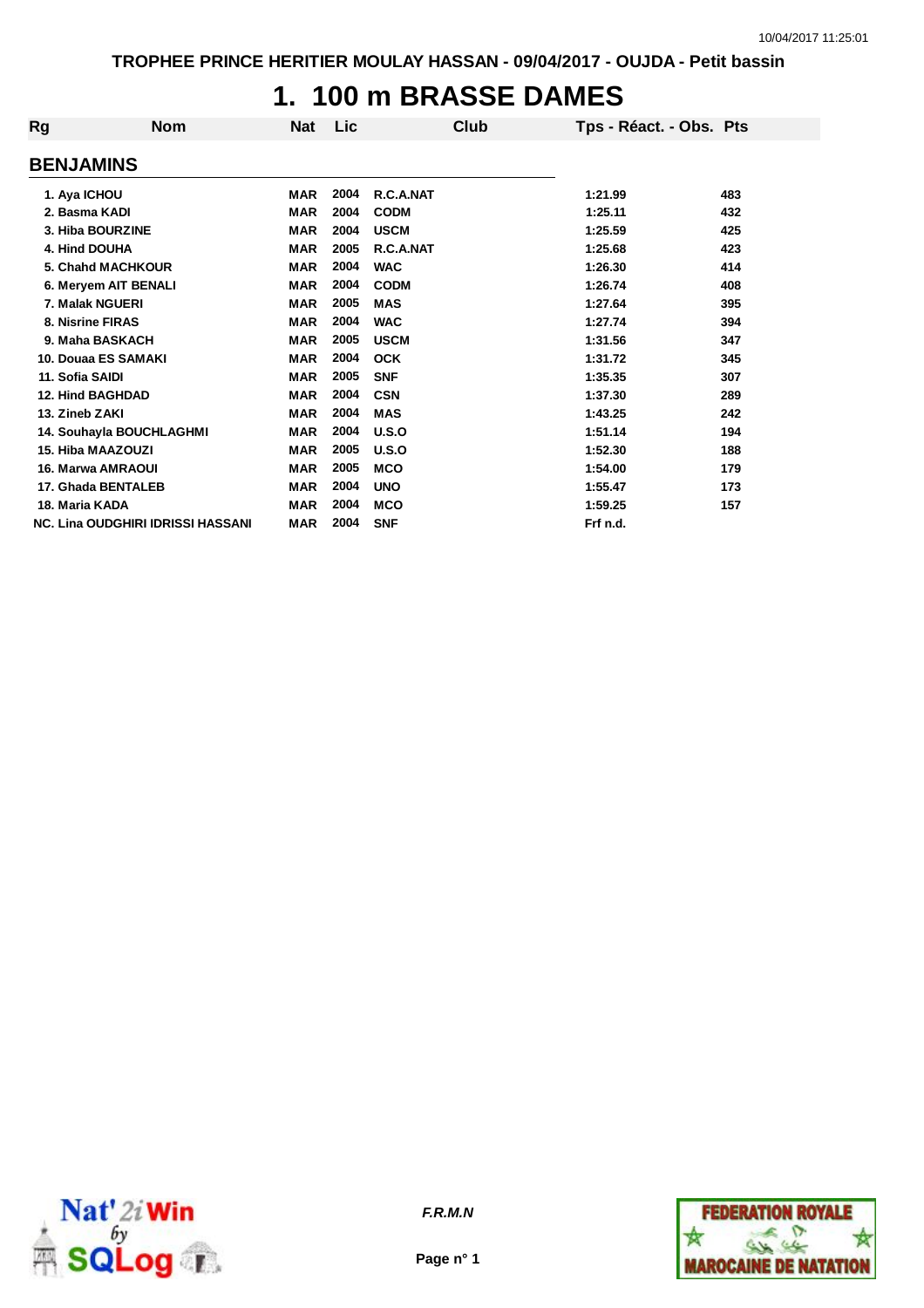#### **1. 100 m BRASSE DAMES**

| Rg                       | <b>Nom</b>                               | <b>Nat</b> | Lic  | Club        | Tps - Réact. - Obs. Pts |     |
|--------------------------|------------------------------------------|------------|------|-------------|-------------------------|-----|
| <b>BENJAMINS</b>         |                                          |            |      |             |                         |     |
| 1. Aya ICHOU             |                                          | MAR        | 2004 | R.C.A.NAT   | 1:21.99                 | 483 |
| 2. Basma KADI            |                                          | <b>MAR</b> | 2004 | <b>CODM</b> | 1:25.11                 | 432 |
| 3. Hiba BOURZINE         |                                          | <b>MAR</b> | 2004 | <b>USCM</b> | 1:25.59                 | 425 |
| 4. Hind DOUHA            |                                          | <b>MAR</b> | 2005 | R.C.A.NAT   | 1:25.68                 | 423 |
| 5. Chahd MACHKOUR        |                                          | <b>MAR</b> | 2004 | <b>WAC</b>  | 1:26.30                 | 414 |
| 6. Meryem AIT BENALI     |                                          | <b>MAR</b> | 2004 | <b>CODM</b> | 1:26.74                 | 408 |
| 7. Malak NGUERI          |                                          | <b>MAR</b> | 2005 | <b>MAS</b>  | 1:27.64                 | 395 |
| 8. Nisrine FIRAS         |                                          | <b>MAR</b> | 2004 | <b>WAC</b>  | 1:27.74                 | 394 |
| 9. Maha BASKACH          |                                          | <b>MAR</b> | 2005 | <b>USCM</b> | 1:31.56                 | 347 |
| 10. Douaa ES SAMAKI      |                                          | <b>MAR</b> | 2004 | <b>OCK</b>  | 1:31.72                 | 345 |
| 11. Sofia SAIDI          |                                          | <b>MAR</b> | 2005 | <b>SNF</b>  | 1:35.35                 | 307 |
| <b>12. Hind BAGHDAD</b>  |                                          | <b>MAR</b> | 2004 | <b>CSN</b>  | 1:37.30                 | 289 |
| 13. Zineb ZAKI           |                                          | <b>MAR</b> | 2004 | <b>MAS</b>  | 1:43.25                 | 242 |
| 14. Souhayla BOUCHLAGHMI |                                          | <b>MAR</b> | 2004 | U.S.O       | 1:51.14                 | 194 |
| 15. Hiba MAAZOUZI        |                                          | <b>MAR</b> | 2005 | U.S.O       | 1:52.30                 | 188 |
| <b>16. Marwa AMRAOUI</b> |                                          | <b>MAR</b> | 2005 | <b>MCO</b>  | 1:54.00                 | 179 |
| 17. Ghada BENTALEB       |                                          | <b>MAR</b> | 2004 | <b>UNO</b>  | 1:55.47                 | 173 |
| 18. Maria KADA           |                                          | <b>MAR</b> | 2004 | <b>MCO</b>  | 1:59.25                 | 157 |
|                          | <b>NC. Lina OUDGHIRI IDRISSI HASSANI</b> | <b>MAR</b> | 2004 | <b>SNF</b>  | Frf n.d.                |     |



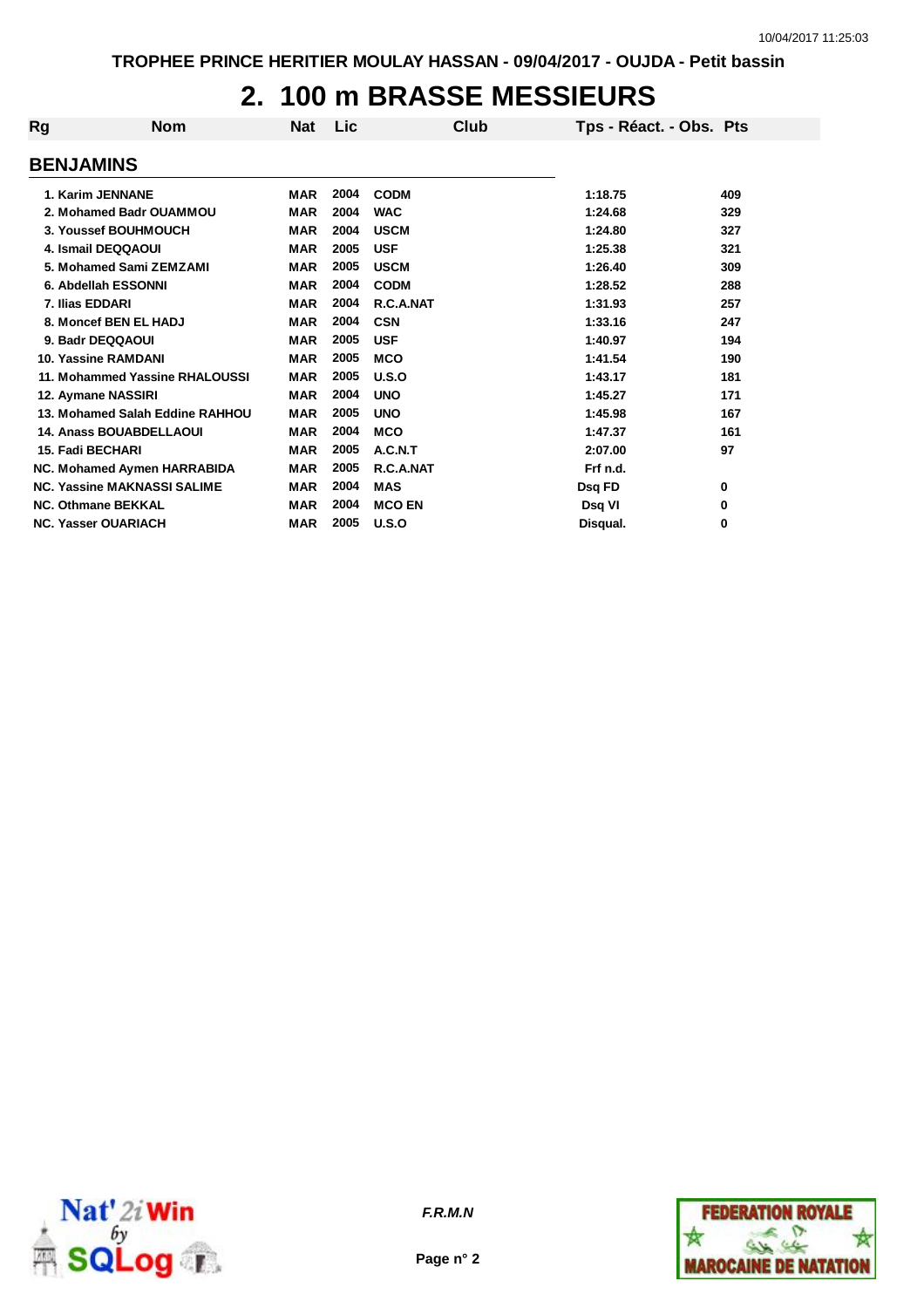### **2. 100 m BRASSE MESSIEURS**

| Rg                         | <b>Nom</b>                         | <b>Nat</b> | Lic  | Club          | Tps - Réact. - Obs. Pts |     |
|----------------------------|------------------------------------|------------|------|---------------|-------------------------|-----|
| <b>BENJAMINS</b>           |                                    |            |      |               |                         |     |
| 1. Karim JENNANE           |                                    | MAR        | 2004 | <b>CODM</b>   | 1:18.75                 | 409 |
|                            | 2. Mohamed Badr OUAMMOU            | <b>MAR</b> | 2004 | <b>WAC</b>    | 1:24.68                 | 329 |
|                            | 3. Youssef BOUHMOUCH               | <b>MAR</b> | 2004 | <b>USCM</b>   | 1:24.80                 | 327 |
| 4. Ismail DEQQAOUI         |                                    | <b>MAR</b> | 2005 | <b>USF</b>    | 1:25.38                 | 321 |
|                            | 5. Mohamed Sami ZEMZAMI            | <b>MAR</b> | 2005 | <b>USCM</b>   | 1:26.40                 | 309 |
| 6. Abdellah ESSONNI        |                                    | <b>MAR</b> | 2004 | <b>CODM</b>   | 1:28.52                 | 288 |
| 7. Ilias EDDARI            |                                    | <b>MAR</b> | 2004 | R.C.A.NAT     | 1:31.93                 | 257 |
|                            | 8. Moncef BEN EL HADJ              | <b>MAR</b> | 2004 | <b>CSN</b>    | 1:33.16                 | 247 |
| 9. Badr DEQQAOUI           |                                    | <b>MAR</b> | 2005 | <b>USF</b>    | 1:40.97                 | 194 |
| 10. Yassine RAMDANI        |                                    | <b>MAR</b> | 2005 | <b>MCO</b>    | 1:41.54                 | 190 |
|                            | 11. Mohammed Yassine RHALOUSSI     | <b>MAR</b> | 2005 | U.S.O         | 1:43.17                 | 181 |
| 12. Aymane NASSIRI         |                                    | <b>MAR</b> | 2004 | <b>UNO</b>    | 1:45.27                 | 171 |
|                            | 13. Mohamed Salah Eddine RAHHOU    | <b>MAR</b> | 2005 | <b>UNO</b>    | 1:45.98                 | 167 |
|                            | <b>14. Anass BOUABDELLAOUI</b>     | <b>MAR</b> | 2004 | <b>MCO</b>    | 1:47.37                 | 161 |
| 15. Fadi BECHARI           |                                    | <b>MAR</b> | 2005 | A.C.N.T       | 2:07.00                 | 97  |
|                            | NC. Mohamed Aymen HARRABIDA        | <b>MAR</b> | 2005 | R.C.A.NAT     | Frf n.d.                |     |
|                            | <b>NC. Yassine MAKNASSI SALIME</b> | <b>MAR</b> | 2004 | <b>MAS</b>    | Dsq FD                  | 0   |
| <b>NC. Othmane BEKKAL</b>  |                                    | <b>MAR</b> | 2004 | <b>MCO EN</b> | Dsq VI                  | 0   |
| <b>NC. Yasser OUARIACH</b> |                                    | <b>MAR</b> | 2005 | U.S.O         | Disqual.                | 0   |



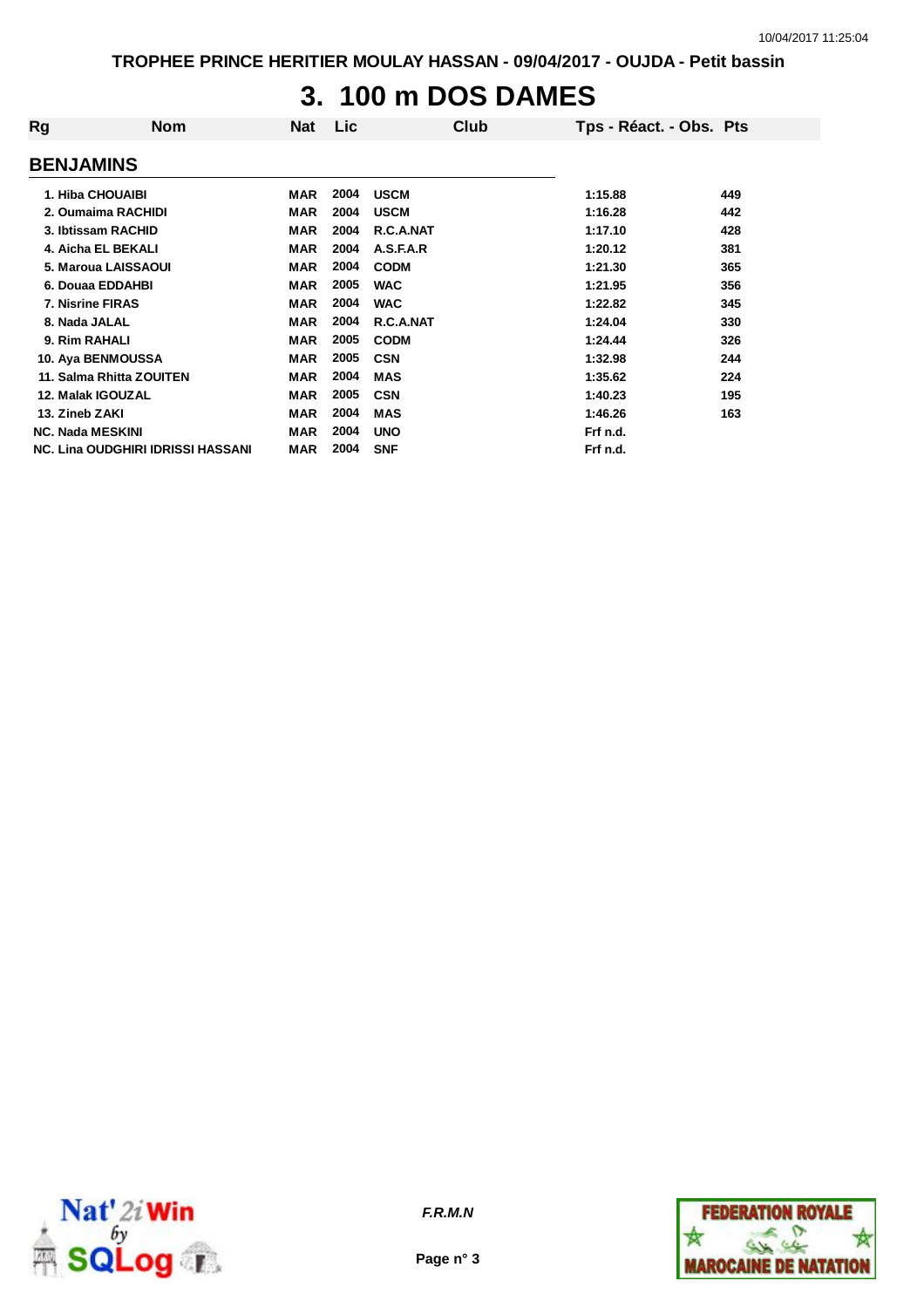## **3. 100 m DOS DAMES**

| Rg                      | <b>Nom</b>                               | <b>Nat</b> | Lic  | Club        | Tps - Réact. - Obs. Pts |     |
|-------------------------|------------------------------------------|------------|------|-------------|-------------------------|-----|
| <b>BENJAMINS</b>        |                                          |            |      |             |                         |     |
| 1. Hiba CHOUAIBI        |                                          | MAR        | 2004 | <b>USCM</b> | 1:15.88                 | 449 |
|                         | 2. Oumaima RACHIDI                       | <b>MAR</b> | 2004 | <b>USCM</b> | 1:16.28                 | 442 |
|                         | 3. Ibtissam RACHID                       | MAR        | 2004 | R.C.A.NAT   | 1:17.10                 | 428 |
|                         | 4. Aicha EL BEKALI                       | <b>MAR</b> | 2004 | A.S.F.A.R   | 1:20.12                 | 381 |
|                         | 5. Maroua LAISSAOUI                      | <b>MAR</b> | 2004 | <b>CODM</b> | 1:21.30                 | 365 |
|                         | 6. Douaa EDDAHBI                         | <b>MAR</b> | 2005 | <b>WAC</b>  | 1:21.95                 | 356 |
| 7. Nisrine FIRAS        |                                          | <b>MAR</b> | 2004 | <b>WAC</b>  | 1:22.82                 | 345 |
| 8. Nada JALAL           |                                          | <b>MAR</b> | 2004 | R.C.A.NAT   | 1:24.04                 | 330 |
| 9. Rim RAHALI           |                                          | <b>MAR</b> | 2005 | <b>CODM</b> | 1:24.44                 | 326 |
|                         | 10. Aya BENMOUSSA                        | <b>MAR</b> | 2005 | <b>CSN</b>  | 1:32.98                 | 244 |
|                         | 11. Salma Rhitta ZOUITEN                 | <b>MAR</b> | 2004 | <b>MAS</b>  | 1:35.62                 | 224 |
| 12. Malak IGOUZAL       |                                          | <b>MAR</b> | 2005 | <b>CSN</b>  | 1:40.23                 | 195 |
| 13. Zineb ZAKI          |                                          | <b>MAR</b> | 2004 | <b>MAS</b>  | 1:46.26                 | 163 |
| <b>NC. Nada MESKINI</b> |                                          | MAR        | 2004 | <b>UNO</b>  | Frf n.d.                |     |
|                         | <b>NC. Lina OUDGHIRI IDRISSI HASSANI</b> | <b>MAR</b> | 2004 | <b>SNF</b>  | Frf n.d.                |     |



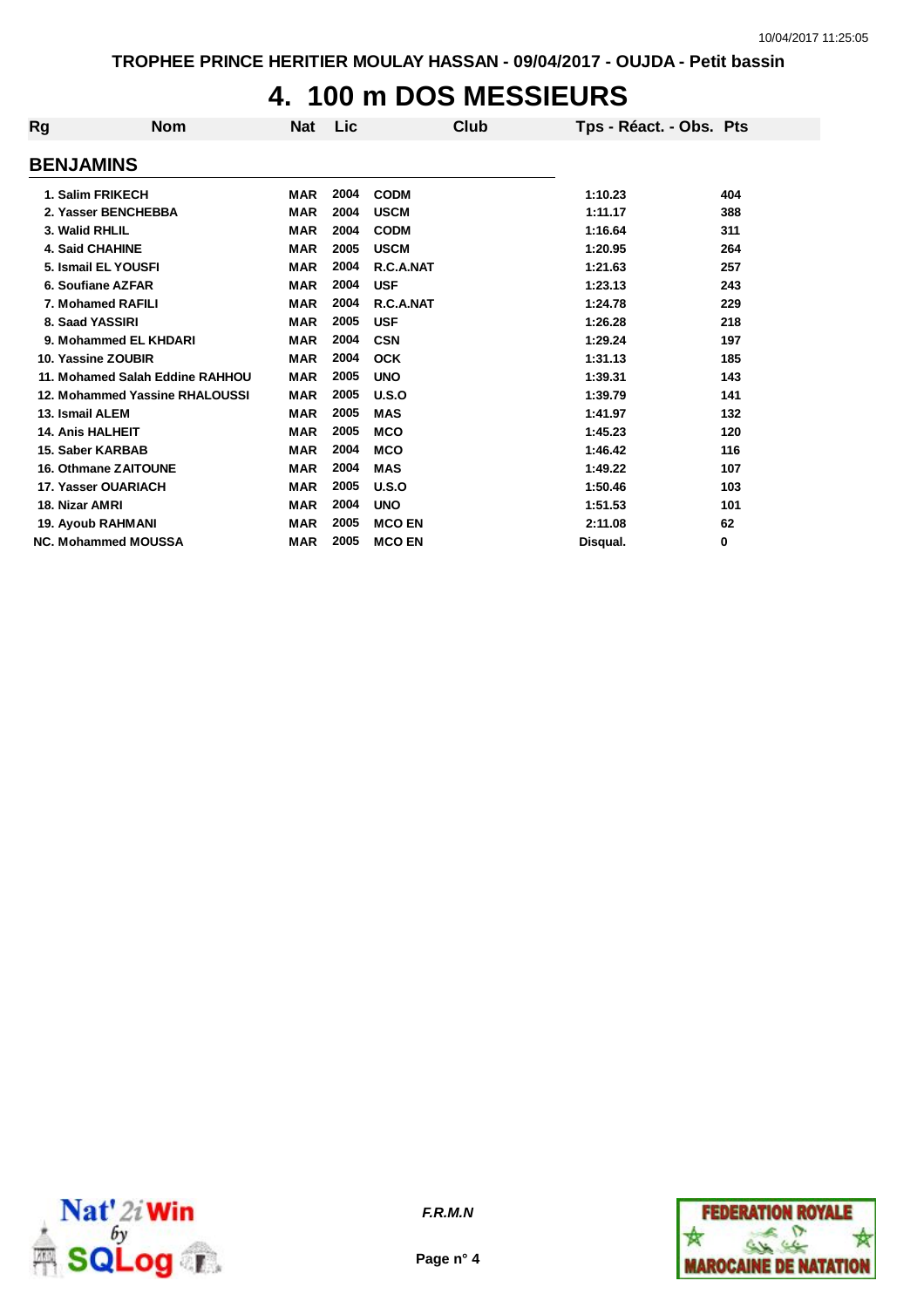# **4. 100 m DOS MESSIEURS**

| Rg                          | <b>Nom</b>                      | <b>Nat</b> | Lic  |               | Club | Tps - Réact. - Obs. Pts |     |
|-----------------------------|---------------------------------|------------|------|---------------|------|-------------------------|-----|
| <b>BENJAMINS</b>            |                                 |            |      |               |      |                         |     |
| 1. Salim FRIKECH            |                                 | <b>MAR</b> | 2004 | <b>CODM</b>   |      | 1:10.23                 | 404 |
| 2. Yasser BENCHEBBA         |                                 | <b>MAR</b> | 2004 | <b>USCM</b>   |      | 1:11.17                 | 388 |
| 3. Walid RHLIL              |                                 | <b>MAR</b> | 2004 | <b>CODM</b>   |      | 1:16.64                 | 311 |
| <b>4. Said CHAHINE</b>      |                                 | <b>MAR</b> | 2005 | <b>USCM</b>   |      | 1:20.95                 | 264 |
| 5. Ismail EL YOUSFI         |                                 | <b>MAR</b> | 2004 | R.C.A.NAT     |      | 1:21.63                 | 257 |
| 6. Soufiane AZFAR           |                                 | <b>MAR</b> | 2004 | <b>USF</b>    |      | 1:23.13                 | 243 |
| 7. Mohamed RAFILI           |                                 | <b>MAR</b> | 2004 | R.C.A.NAT     |      | 1:24.78                 | 229 |
| 8. Saad YASSIRI             |                                 | <b>MAR</b> | 2005 | <b>USF</b>    |      | 1:26.28                 | 218 |
|                             | 9. Mohammed EL KHDARI           | <b>MAR</b> | 2004 | <b>CSN</b>    |      | 1:29.24                 | 197 |
| 10. Yassine ZOUBIR          |                                 | <b>MAR</b> | 2004 | <b>OCK</b>    |      | 1:31.13                 | 185 |
|                             | 11. Mohamed Salah Eddine RAHHOU | <b>MAR</b> | 2005 | <b>UNO</b>    |      | 1:39.31                 | 143 |
|                             | 12. Mohammed Yassine RHALOUSSI  | <b>MAR</b> | 2005 | U.S.O         |      | 1:39.79                 | 141 |
| 13. Ismail ALEM             |                                 | <b>MAR</b> | 2005 | <b>MAS</b>    |      | 1:41.97                 | 132 |
| <b>14. Anis HALHEIT</b>     |                                 | <b>MAR</b> | 2005 | <b>MCO</b>    |      | 1:45.23                 | 120 |
| 15. Saber KARBAB            |                                 | <b>MAR</b> | 2004 | <b>MCO</b>    |      | 1:46.42                 | 116 |
| <b>16. Othmane ZAITOUNE</b> |                                 | <b>MAR</b> | 2004 | <b>MAS</b>    |      | 1:49.22                 | 107 |
| 17. Yasser OUARIACH         |                                 | <b>MAR</b> | 2005 | U.S.O         |      | 1:50.46                 | 103 |
| 18. Nizar AMRI              |                                 | <b>MAR</b> | 2004 | <b>UNO</b>    |      | 1:51.53                 | 101 |
| <b>19. Ayoub RAHMANI</b>    |                                 | <b>MAR</b> | 2005 | <b>MCO EN</b> |      | 2:11.08                 | 62  |
| <b>NC. Mohammed MOUSSA</b>  |                                 | <b>MAR</b> | 2005 | <b>MCO EN</b> |      | Disqual.                | 0   |



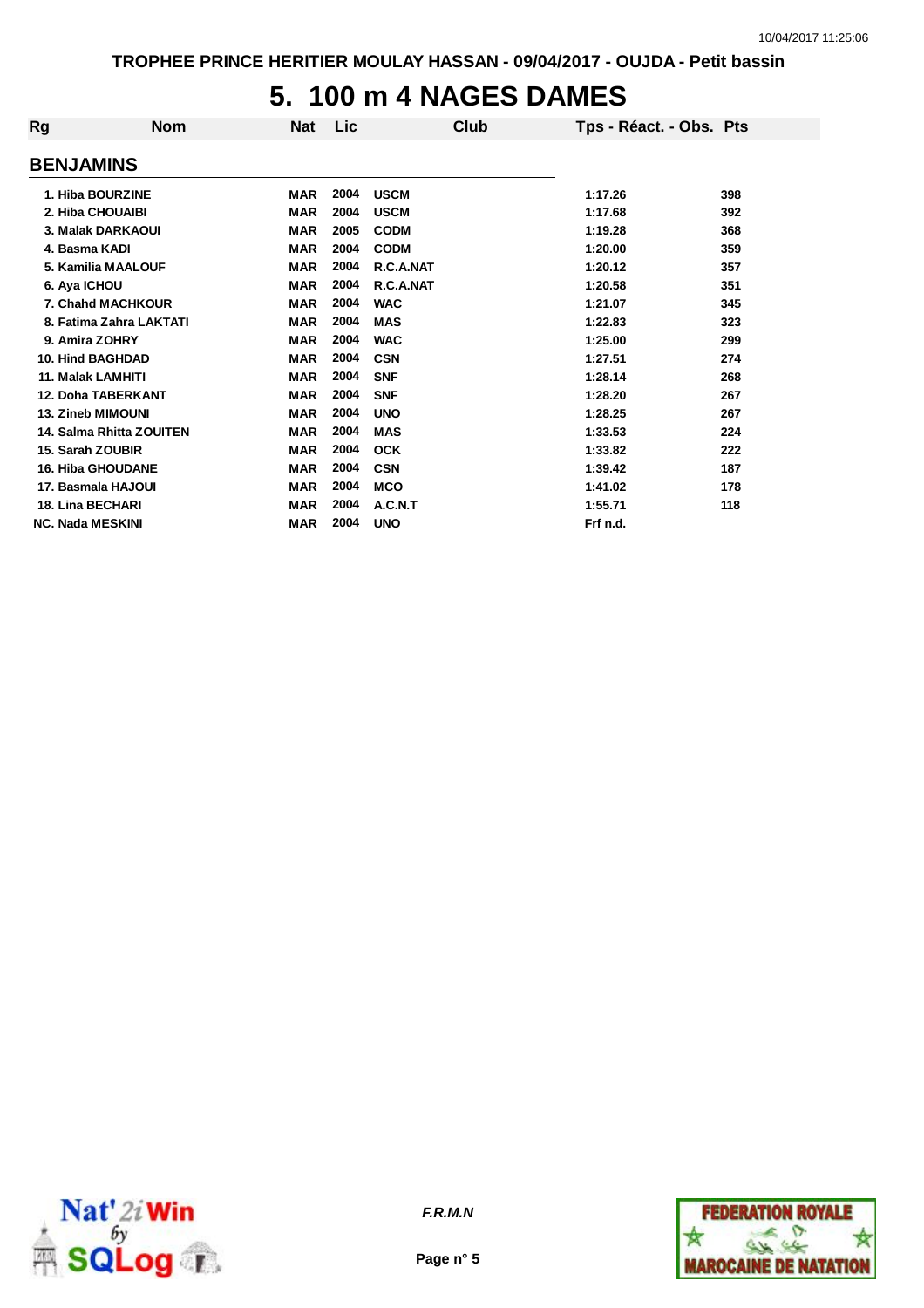### **5. 100 m 4 NAGES DAMES**

| Rg                       | <b>Nom</b>                | Nat        | Lic  | Club        | Tps - Réact. - Obs. Pts |     |
|--------------------------|---------------------------|------------|------|-------------|-------------------------|-----|
| <b>BENJAMINS</b>         |                           |            |      |             |                         |     |
| 1. Hiba BOURZINE         |                           | <b>MAR</b> | 2004 | <b>USCM</b> | 1:17.26                 | 398 |
| 2. Hiba CHOUAIBI         |                           | <b>MAR</b> | 2004 | <b>USCM</b> | 1:17.68                 | 392 |
|                          | 3. Malak DARKAOUI         | <b>MAR</b> | 2005 | <b>CODM</b> | 1:19.28                 | 368 |
| 4. Basma KADI            |                           | <b>MAR</b> | 2004 | <b>CODM</b> | 1:20.00                 | 359 |
|                          | 5. Kamilia MAALOUF        | <b>MAR</b> | 2004 | R.C.A.NAT   | 1:20.12                 | 357 |
| 6. Aya ICHOU             |                           | <b>MAR</b> | 2004 | R.C.A.NAT   | 1:20.58                 | 351 |
|                          | 7. Chahd MACHKOUR         | <b>MAR</b> | 2004 | <b>WAC</b>  | 1:21.07                 | 345 |
|                          | 8. Fatima Zahra LAKTATI   | <b>MAR</b> | 2004 | <b>MAS</b>  | 1:22.83                 | 323 |
| 9. Amira ZOHRY           |                           | <b>MAR</b> | 2004 | <b>WAC</b>  | 1:25.00                 | 299 |
| <b>10. Hind BAGHDAD</b>  |                           | <b>MAR</b> | 2004 | <b>CSN</b>  | 1:27.51                 | 274 |
| 11. Malak LAMHITI        |                           | <b>MAR</b> | 2004 | <b>SNF</b>  | 1:28.14                 | 268 |
|                          | <b>12. Doha TABERKANT</b> | <b>MAR</b> | 2004 | <b>SNF</b>  | 1:28.20                 | 267 |
| 13. Zineb MIMOUNI        |                           | <b>MAR</b> | 2004 | <b>UNO</b>  | 1:28.25                 | 267 |
|                          | 14. Salma Rhitta ZOUITEN  | <b>MAR</b> | 2004 | <b>MAS</b>  | 1:33.53                 | 224 |
| 15. Sarah ZOUBIR         |                           | <b>MAR</b> | 2004 | <b>OCK</b>  | 1:33.82                 | 222 |
| <b>16. Hiba GHOUDANE</b> |                           | <b>MAR</b> | 2004 | <b>CSN</b>  | 1:39.42                 | 187 |
| 17. Basmala HAJOUI       |                           | <b>MAR</b> | 2004 | <b>MCO</b>  | 1:41.02                 | 178 |
| <b>18. Lina BECHARI</b>  |                           | <b>MAR</b> | 2004 | A.C.N.T     | 1:55.71                 | 118 |
| <b>NC. Nada MESKINI</b>  |                           | <b>MAR</b> | 2004 | <b>UNO</b>  | Frf n.d.                |     |



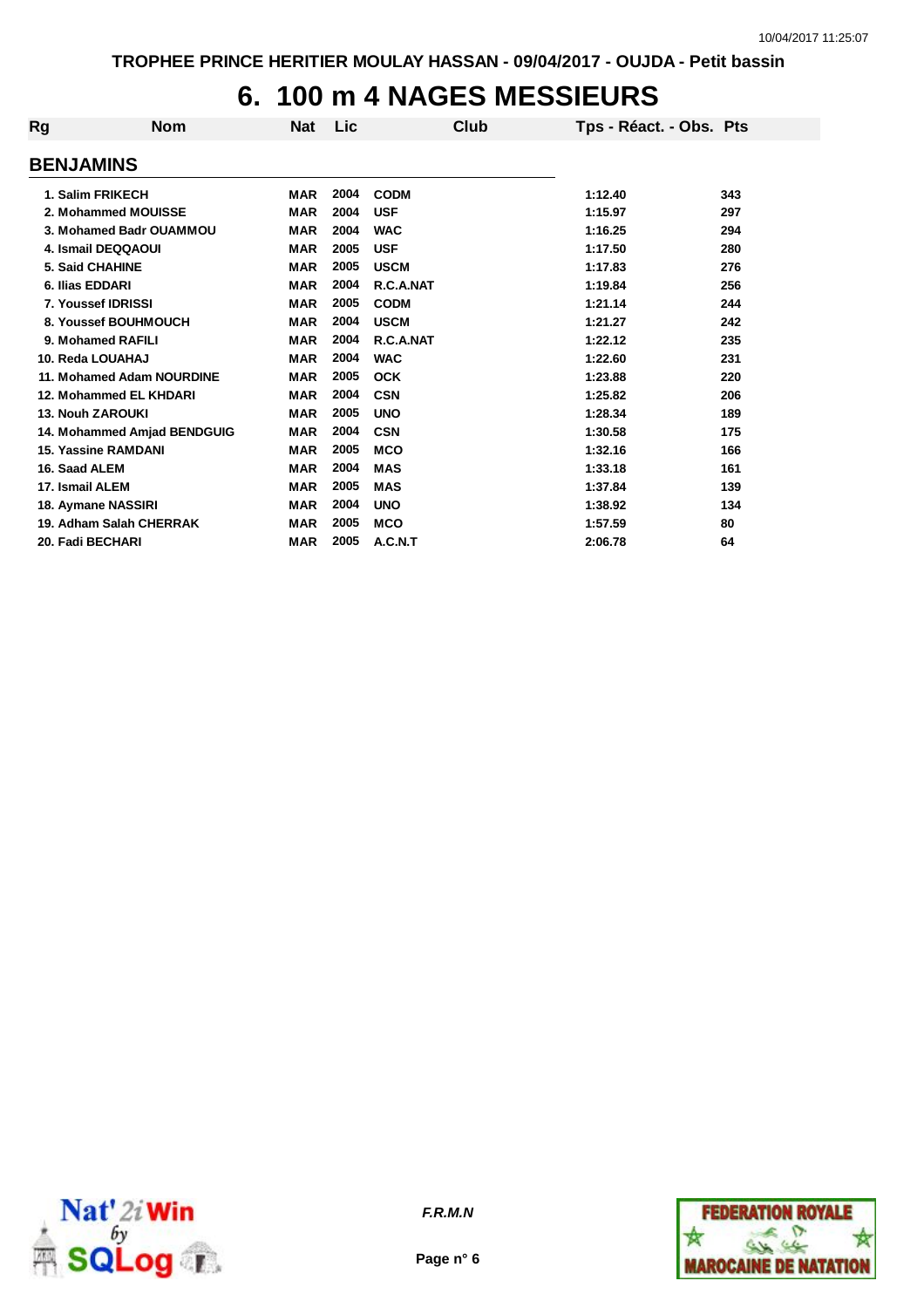## **6. 100 m 4 NAGES MESSIEURS**

| Rg                          | <b>Nom</b> | <b>Nat</b> | Lic  | Club        | Tps - Réact. - Obs. Pts |     |
|-----------------------------|------------|------------|------|-------------|-------------------------|-----|
| <b>BENJAMINS</b>            |            |            |      |             |                         |     |
| 1. Salim FRIKECH            |            | <b>MAR</b> | 2004 | <b>CODM</b> | 1:12.40                 | 343 |
| 2. Mohammed MOUISSE         |            | <b>MAR</b> | 2004 | <b>USF</b>  | 1:15.97                 | 297 |
| 3. Mohamed Badr OUAMMOU     |            | <b>MAR</b> | 2004 | <b>WAC</b>  | 1:16.25                 | 294 |
| 4. Ismail DEQQAOUI          |            | <b>MAR</b> | 2005 | <b>USF</b>  | 1:17.50                 | 280 |
| 5. Said CHAHINE             |            | <b>MAR</b> | 2005 | <b>USCM</b> | 1:17.83                 | 276 |
| 6. Ilias EDDARI             |            | <b>MAR</b> | 2004 | R.C.A.NAT   | 1:19.84                 | 256 |
| 7. Youssef IDRISSI          |            | <b>MAR</b> | 2005 | <b>CODM</b> | 1:21.14                 | 244 |
| 8. Youssef BOUHMOUCH        |            | <b>MAR</b> | 2004 | <b>USCM</b> | 1:21.27                 | 242 |
| 9. Mohamed RAFILI           |            | <b>MAR</b> | 2004 | R.C.A.NAT   | 1:22.12                 | 235 |
| 10. Reda LOUAHAJ            |            | <b>MAR</b> | 2004 | <b>WAC</b>  | 1:22.60                 | 231 |
| 11. Mohamed Adam NOURDINE   |            | <b>MAR</b> | 2005 | <b>OCK</b>  | 1:23.88                 | 220 |
| 12. Mohammed EL KHDARI      |            | <b>MAR</b> | 2004 | <b>CSN</b>  | 1:25.82                 | 206 |
| <b>13. Nouh ZAROUKI</b>     |            | <b>MAR</b> | 2005 | <b>UNO</b>  | 1:28.34                 | 189 |
| 14. Mohammed Amjad BENDGUIG |            | <b>MAR</b> | 2004 | <b>CSN</b>  | 1:30.58                 | 175 |
| <b>15. Yassine RAMDANI</b>  |            | <b>MAR</b> | 2005 | <b>MCO</b>  | 1:32.16                 | 166 |
| 16. Saad ALEM               |            | <b>MAR</b> | 2004 | <b>MAS</b>  | 1:33.18                 | 161 |
| 17. Ismail ALEM             |            | <b>MAR</b> | 2005 | <b>MAS</b>  | 1:37.84                 | 139 |
| 18. Aymane NASSIRI          |            | <b>MAR</b> | 2004 | <b>UNO</b>  | 1:38.92                 | 134 |
| 19. Adham Salah CHERRAK     |            | <b>MAR</b> | 2005 | <b>MCO</b>  | 1:57.59                 | 80  |
| 20. Fadi BECHARI            |            | <b>MAR</b> | 2005 | A.C.N.T     | 2:06.78                 | 64  |



**Page n° 6**

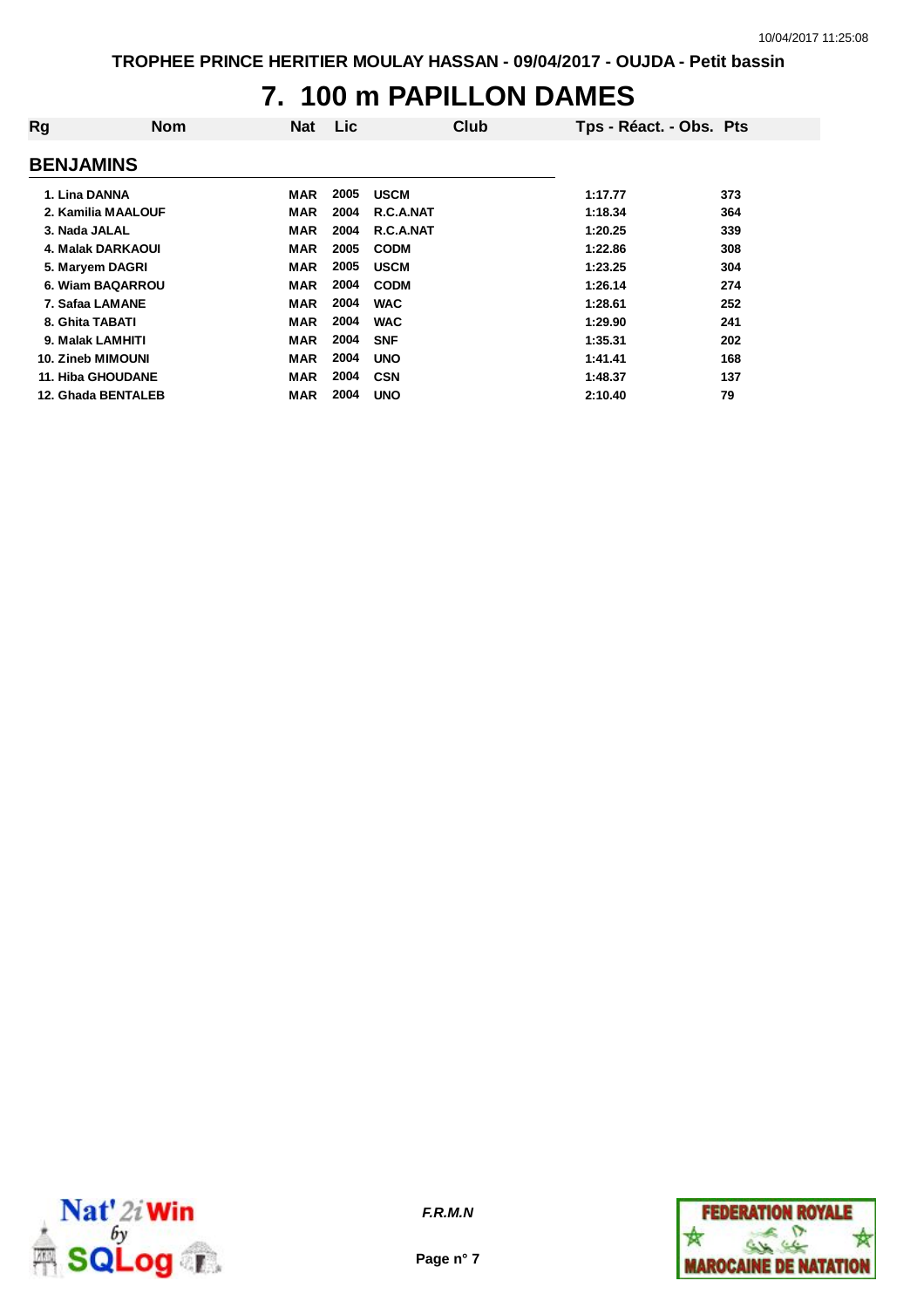### **7. 100 m PAPILLON DAMES**

| Rg                 | <b>Nom</b> | <b>Nat</b> | <b>Lic</b> | Club        | Tps - Réact. - Obs. Pts |     |
|--------------------|------------|------------|------------|-------------|-------------------------|-----|
| <b>BENJAMINS</b>   |            |            |            |             |                         |     |
| 1. Lina DANNA      |            | MAR        | 2005       | <b>USCM</b> | 1:17.77                 | 373 |
| 2. Kamilia MAALOUF |            | <b>MAR</b> | 2004       | R.C.A.NAT   | 1:18.34                 | 364 |
| 3. Nada JALAL      |            | <b>MAR</b> | 2004       | R.C.A.NAT   | 1:20.25                 | 339 |
| 4. Malak DARKAOUI  |            | <b>MAR</b> | 2005       | <b>CODM</b> | 1:22.86                 | 308 |
| 5. Maryem DAGRI    |            | <b>MAR</b> | 2005       | <b>USCM</b> | 1:23.25                 | 304 |
| 6. Wiam BAQARROU   |            | <b>MAR</b> | 2004       | <b>CODM</b> | 1:26.14                 | 274 |
| 7. Safaa LAMANE    |            | <b>MAR</b> | 2004       | <b>WAC</b>  | 1:28.61                 | 252 |
| 8. Ghita TABATI    |            | <b>MAR</b> | 2004       | <b>WAC</b>  | 1:29.90                 | 241 |
| 9. Malak LAMHITI   |            | <b>MAR</b> | 2004       | <b>SNF</b>  | 1:35.31                 | 202 |
| 10. Zineb MIMOUNI  |            | <b>MAR</b> | 2004       | <b>UNO</b>  | 1:41.41                 | 168 |
| 11. Hiba GHOUDANE  |            | <b>MAR</b> | 2004       | <b>CSN</b>  | 1:48.37                 | 137 |
| 12. Ghada BENTALEB |            | <b>MAR</b> | 2004       | <b>UNO</b>  | 2:10.40                 | 79  |



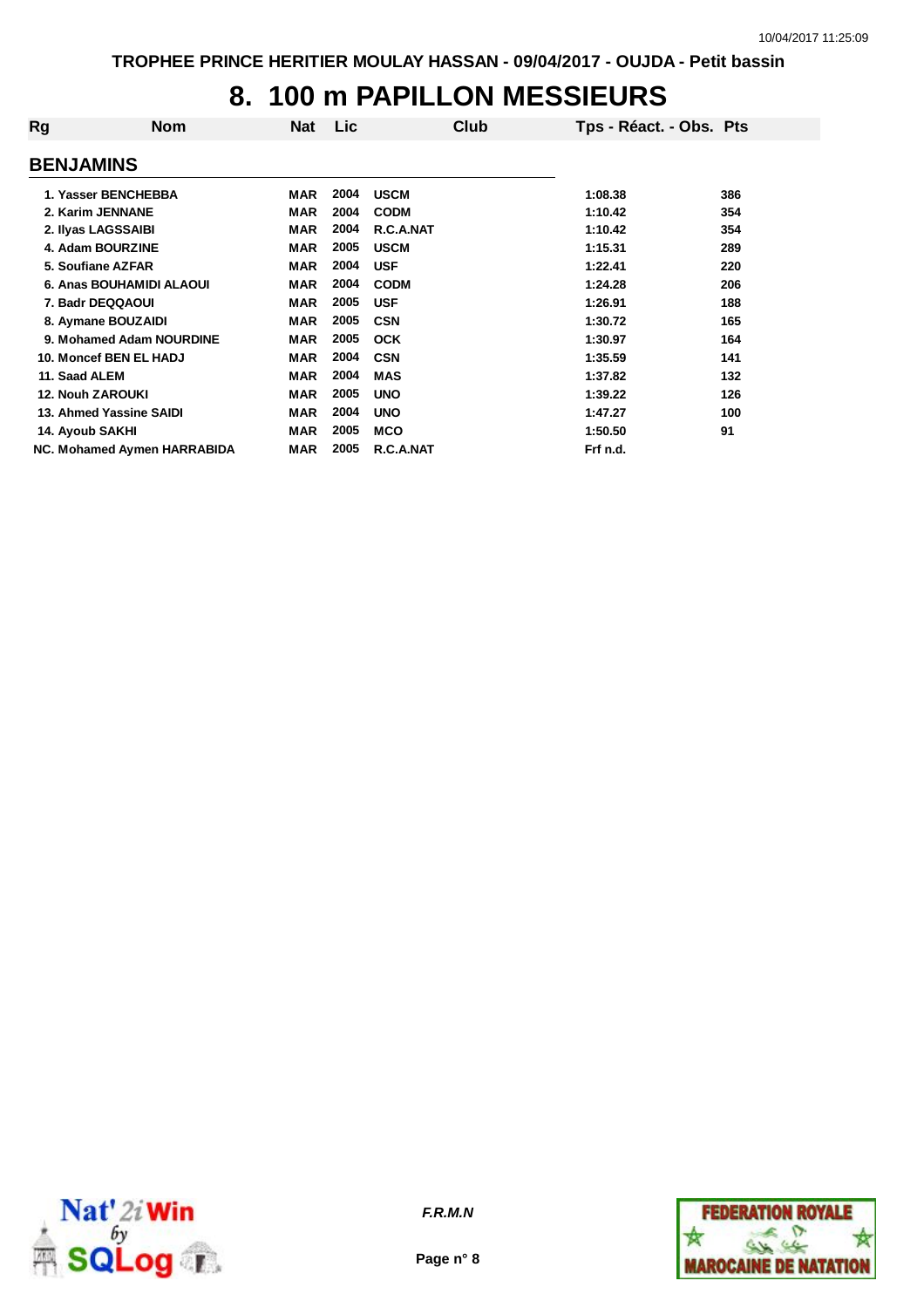# **8. 100 m PAPILLON MESSIEURS**

| Rg                      | <b>Nom</b>                  | Nat        | Lic  | Club        | Tps - Réact. - Obs. Pts |     |
|-------------------------|-----------------------------|------------|------|-------------|-------------------------|-----|
| <b>BENJAMINS</b>        |                             |            |      |             |                         |     |
| 1. Yasser BENCHEBBA     |                             | MAR        | 2004 | <b>USCM</b> | 1:08.38                 | 386 |
| 2. Karim JENNANE        |                             | <b>MAR</b> | 2004 | <b>CODM</b> | 1:10.42                 | 354 |
| 2. Ilyas LAGSSAIBI      |                             | MAR        | 2004 | R.C.A.NAT   | 1:10.42                 | 354 |
| 4. Adam BOURZINE        |                             | <b>MAR</b> | 2005 | <b>USCM</b> | 1:15.31                 | 289 |
| 5. Soufiane AZFAR       |                             | <b>MAR</b> | 2004 | <b>USF</b>  | 1:22.41                 | 220 |
|                         | 6. Anas BOUHAMIDI ALAOUI    | <b>MAR</b> | 2004 | <b>CODM</b> | 1:24.28                 | 206 |
| 7. Badr DEQQAOUI        |                             | <b>MAR</b> | 2005 | <b>USF</b>  | 1:26.91                 | 188 |
| 8. Aymane BOUZAIDI      |                             | <b>MAR</b> | 2005 | <b>CSN</b>  | 1:30.72                 | 165 |
|                         | 9. Mohamed Adam NOURDINE    | <b>MAR</b> | 2005 | <b>OCK</b>  | 1:30.97                 | 164 |
| 10. Moncef BEN EL HADJ  |                             | <b>MAR</b> | 2004 | <b>CSN</b>  | 1:35.59                 | 141 |
| 11. Saad ALEM           |                             | <b>MAR</b> | 2004 | <b>MAS</b>  | 1:37.82                 | 132 |
| <b>12. Nouh ZAROUKI</b> |                             | <b>MAR</b> | 2005 | <b>UNO</b>  | 1:39.22                 | 126 |
| 13. Ahmed Yassine SAIDI |                             | <b>MAR</b> | 2004 | <b>UNO</b>  | 1:47.27                 | 100 |
| 14. Ayoub SAKHI         |                             | MAR        | 2005 | <b>MCO</b>  | 1:50.50                 | 91  |
|                         | NC. Mohamed Aymen HARRABIDA | <b>MAR</b> | 2005 | R.C.A.NAT   | Frf n.d.                |     |



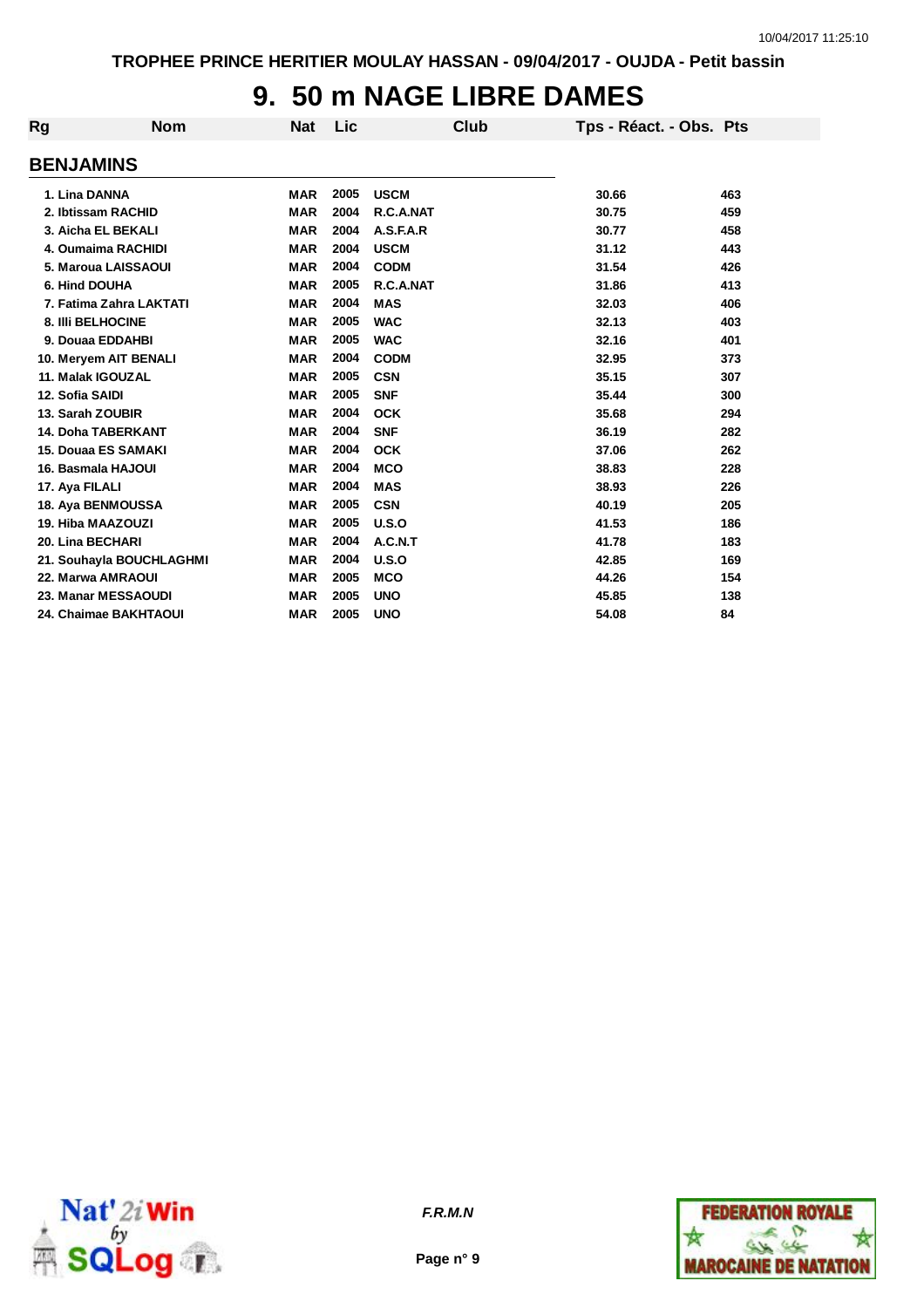## **9. 50 m NAGE LIBRE DAMES**

| Rg | <b>Nom</b>                 | <b>Nat</b> | Lic  | Club        | Tps - Réact. - Obs. Pts |     |
|----|----------------------------|------------|------|-------------|-------------------------|-----|
|    | <b>BENJAMINS</b>           |            |      |             |                         |     |
|    | 1. Lina DANNA              | <b>MAR</b> | 2005 | <b>USCM</b> | 30.66                   | 463 |
|    | 2. Ibtissam RACHID         | <b>MAR</b> | 2004 | R.C.A.NAT   | 30.75                   | 459 |
|    | 3. Aicha EL BEKALI         | <b>MAR</b> | 2004 | A.S.F.A.R   | 30.77                   | 458 |
|    | 4. Oumaima RACHIDI         | <b>MAR</b> | 2004 | <b>USCM</b> | 31.12                   | 443 |
|    | 5. Maroua LAISSAOUI        | <b>MAR</b> | 2004 | <b>CODM</b> | 31.54                   | 426 |
|    | 6. Hind DOUHA              | <b>MAR</b> | 2005 | R.C.A.NAT   | 31.86                   | 413 |
|    | 7. Fatima Zahra LAKTATI    | <b>MAR</b> | 2004 | <b>MAS</b>  | 32.03                   | 406 |
|    | 8. IIIi BELHOCINE          | <b>MAR</b> | 2005 | <b>WAC</b>  | 32.13                   | 403 |
|    | 9. Douaa EDDAHBI           | <b>MAR</b> | 2005 | <b>WAC</b>  | 32.16                   | 401 |
|    | 10. Meryem AIT BENALI      | <b>MAR</b> | 2004 | <b>CODM</b> | 32.95                   | 373 |
|    | 11. Malak IGOUZAL          | <b>MAR</b> | 2005 | <b>CSN</b>  | 35.15                   | 307 |
|    | 12. Sofia SAIDI            | <b>MAR</b> | 2005 | <b>SNF</b>  | 35.44                   | 300 |
|    | 13. Sarah ZOUBIR           | <b>MAR</b> | 2004 | <b>OCK</b>  | 35.68                   | 294 |
|    | <b>14. Doha TABERKANT</b>  | <b>MAR</b> | 2004 | <b>SNF</b>  | 36.19                   | 282 |
|    | <b>15. Douaa ES SAMAKI</b> | <b>MAR</b> | 2004 | <b>OCK</b>  | 37.06                   | 262 |
|    | 16. Basmala HAJOUI         | <b>MAR</b> | 2004 | <b>MCO</b>  | 38.83                   | 228 |
|    | 17. Aya FILALI             | <b>MAR</b> | 2004 | <b>MAS</b>  | 38.93                   | 226 |
|    | 18. Aya BENMOUSSA          | <b>MAR</b> | 2005 | <b>CSN</b>  | 40.19                   | 205 |
|    | 19. Hiba MAAZOUZI          | <b>MAR</b> | 2005 | U.S.O       | 41.53                   | 186 |
|    | 20. Lina BECHARI           | <b>MAR</b> | 2004 | A.C.N.T     | 41.78                   | 183 |
|    | 21. Souhayla BOUCHLAGHMI   | <b>MAR</b> | 2004 | U.S.O       | 42.85                   | 169 |
|    | 22. Marwa AMRAOUI          | <b>MAR</b> | 2005 | <b>MCO</b>  | 44.26                   | 154 |
|    | 23. Manar MESSAOUDI        | <b>MAR</b> | 2005 | <b>UNO</b>  | 45.85                   | 138 |
|    | 24. Chaimae BAKHTAOUI      | <b>MAR</b> | 2005 | <b>UNO</b>  | 54.08                   | 84  |
|    |                            |            |      |             |                         |     |





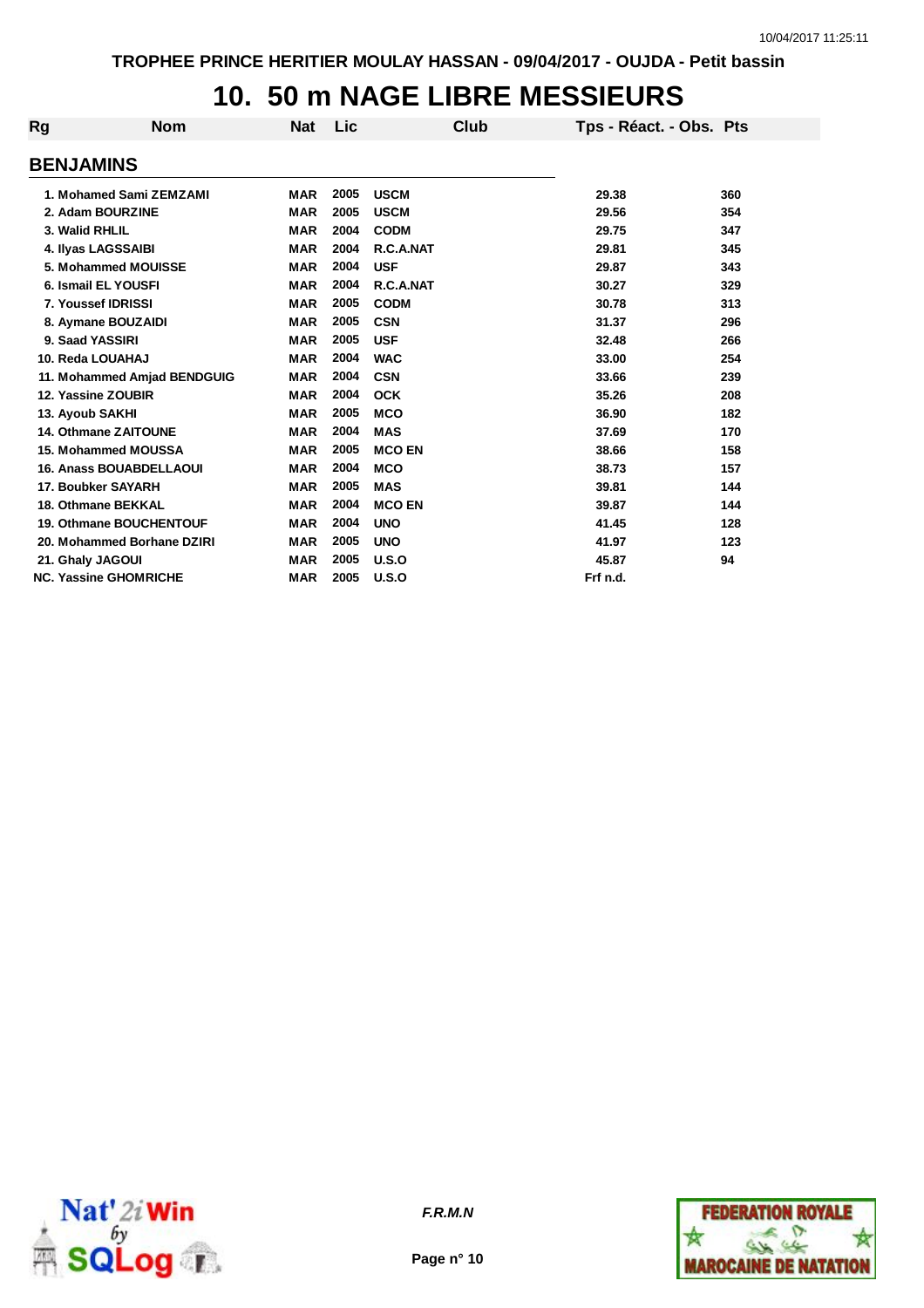# **10. 50 m NAGE LIBRE MESSIEURS**

| Rg | <b>Nom</b>                     | <b>Nat</b> | Lic  | Club          | Tps - Réact. - Obs. Pts |     |
|----|--------------------------------|------------|------|---------------|-------------------------|-----|
|    | <b>BENJAMINS</b>               |            |      |               |                         |     |
|    | 1. Mohamed Sami ZEMZAMI        | <b>MAR</b> | 2005 | <b>USCM</b>   | 29.38                   | 360 |
|    | 2. Adam BOURZINE               | <b>MAR</b> | 2005 | <b>USCM</b>   | 29.56                   | 354 |
|    | 3. Walid RHLIL                 | <b>MAR</b> | 2004 | <b>CODM</b>   | 29.75                   | 347 |
|    | 4. Ilyas LAGSSAIBI             | <b>MAR</b> | 2004 | R.C.A.NAT     | 29.81                   | 345 |
|    | 5. Mohammed MOUISSE            | <b>MAR</b> | 2004 | <b>USF</b>    | 29.87                   | 343 |
|    | 6. Ismail EL YOUSFI            | <b>MAR</b> | 2004 | R.C.A.NAT     | 30.27                   | 329 |
|    | 7. Youssef IDRISSI             | <b>MAR</b> | 2005 | <b>CODM</b>   | 30.78                   | 313 |
|    | 8. Aymane BOUZAIDI             | <b>MAR</b> | 2005 | <b>CSN</b>    | 31.37                   | 296 |
|    | 9. Saad YASSIRI                | <b>MAR</b> | 2005 | <b>USF</b>    | 32.48                   | 266 |
|    | 10. Reda LOUAHAJ               | <b>MAR</b> | 2004 | <b>WAC</b>    | 33.00                   | 254 |
|    | 11. Mohammed Amjad BENDGUIG    | <b>MAR</b> | 2004 | <b>CSN</b>    | 33.66                   | 239 |
|    | 12. Yassine ZOUBIR             | <b>MAR</b> | 2004 | <b>OCK</b>    | 35.26                   | 208 |
|    | 13. Ayoub SAKHI                | <b>MAR</b> | 2005 | <b>MCO</b>    | 36.90                   | 182 |
|    | 14. Othmane ZAITOUNE           | <b>MAR</b> | 2004 | <b>MAS</b>    | 37.69                   | 170 |
|    | 15. Mohammed MOUSSA            | <b>MAR</b> | 2005 | <b>MCO EN</b> | 38.66                   | 158 |
|    | <b>16. Anass BOUABDELLAOUI</b> | <b>MAR</b> | 2004 | <b>MCO</b>    | 38.73                   | 157 |
|    | 17. Boubker SAYARH             | <b>MAR</b> | 2005 | <b>MAS</b>    | 39.81                   | 144 |
|    | 18. Othmane BEKKAL             | <b>MAR</b> | 2004 | <b>MCO EN</b> | 39.87                   | 144 |
|    | <b>19. Othmane BOUCHENTOUF</b> | <b>MAR</b> | 2004 | <b>UNO</b>    | 41.45                   | 128 |
|    | 20. Mohammed Borhane DZIRI     | <b>MAR</b> | 2005 | <b>UNO</b>    | 41.97                   | 123 |
|    | 21. Ghaly JAGOUI               | <b>MAR</b> | 2005 | U.S.O         | 45.87                   | 94  |
|    | <b>NC. Yassine GHOMRICHE</b>   | <b>MAR</b> | 2005 | U.S.O         | Frf n.d.                |     |



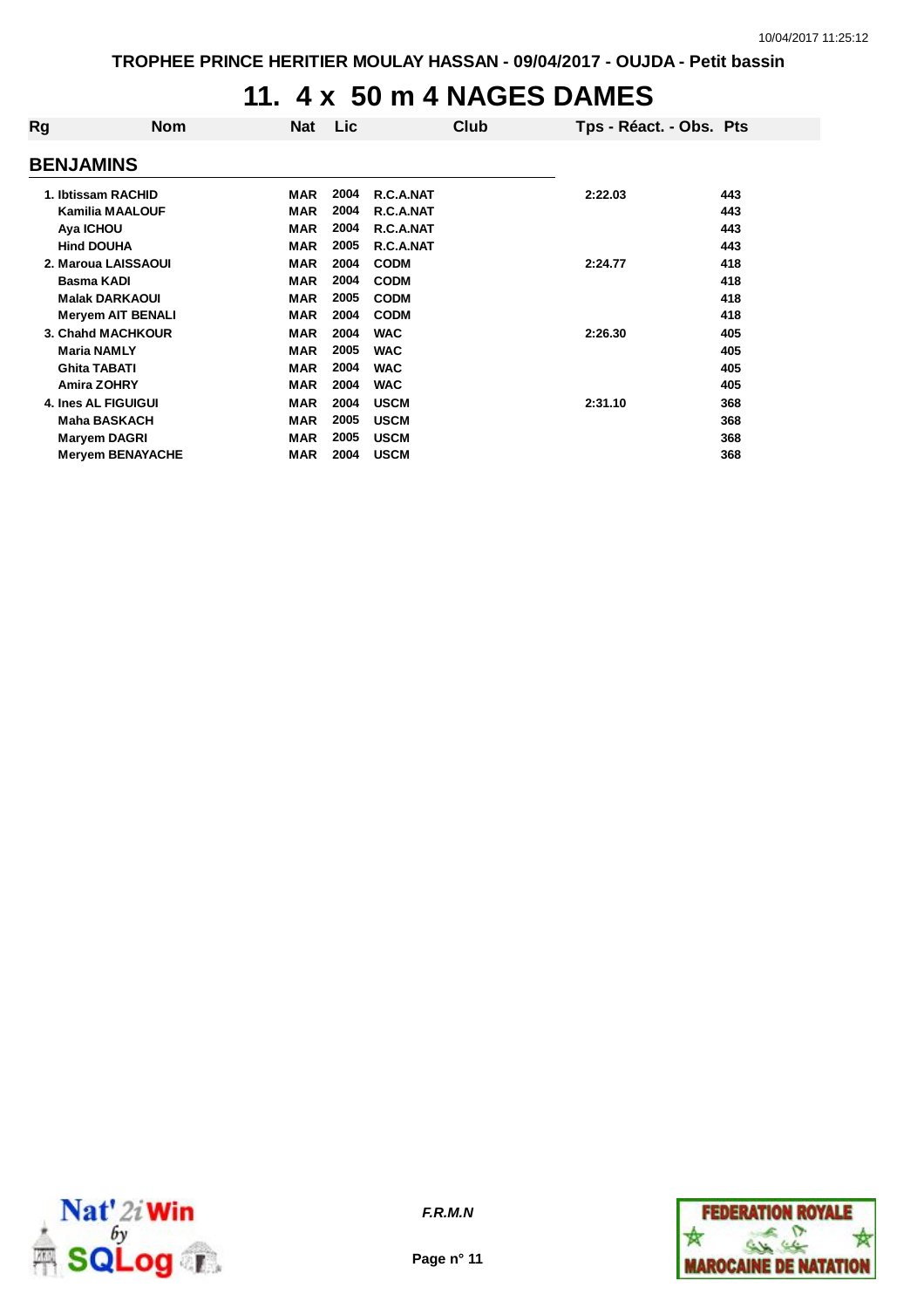### **11. 4 x 50 m 4 NAGES DAMES**

| <b>BENJAMINS</b>         |            |            |             |         |                         |
|--------------------------|------------|------------|-------------|---------|-------------------------|
| 1. Ibtissam RACHID       | <b>MAR</b> | 2004       | R.C.A.NAT   | 2:22.03 | 443                     |
| <b>Kamilia MAALOUF</b>   | <b>MAR</b> | 2004       | R.C.A.NAT   |         | 443                     |
| Aya ICHOU                | <b>MAR</b> | 2004       | R.C.A.NAT   |         | 443                     |
| <b>Hind DOUHA</b>        | <b>MAR</b> | 2005       | R.C.A.NAT   |         | 443                     |
| 2. Maroua LAISSAOUI      | <b>MAR</b> | 2004       | <b>CODM</b> | 2:24.77 | 418                     |
| <b>Basma KADI</b>        | <b>MAR</b> | 2004       | <b>CODM</b> |         | 418                     |
| <b>Malak DARKAOUI</b>    | <b>MAR</b> | 2005       | <b>CODM</b> |         | 418                     |
| <b>Meryem AIT BENALI</b> | <b>MAR</b> | 2004       | <b>CODM</b> |         | 418                     |
| 3. Chahd MACHKOUR        | <b>MAR</b> | 2004       | <b>WAC</b>  | 2:26.30 | 405                     |
| <b>Maria NAMLY</b>       | <b>MAR</b> | 2005       | <b>WAC</b>  |         | 405                     |
| <b>Ghita TABATI</b>      | <b>MAR</b> | 2004       | <b>WAC</b>  |         | 405                     |
| <b>Amira ZOHRY</b>       | <b>MAR</b> | 2004       | <b>WAC</b>  |         | 405                     |
| 4. Ines AL FIGUIGUI      | <b>MAR</b> | 2004       | <b>USCM</b> | 2:31.10 | 368                     |
| <b>Maha BASKACH</b>      | <b>MAR</b> | 2005       | <b>USCM</b> |         | 368                     |
| Maryem DAGRI             | <b>MAR</b> | 2005       | <b>USCM</b> |         | 368                     |
| <b>Mervem BENAYACHE</b>  | <b>MAR</b> | 2004       | <b>USCM</b> |         | 368                     |
|                          | <b>Nom</b> | <b>Nat</b> | Lic         | Club    | Tps - Réact. - Obs. Pts |



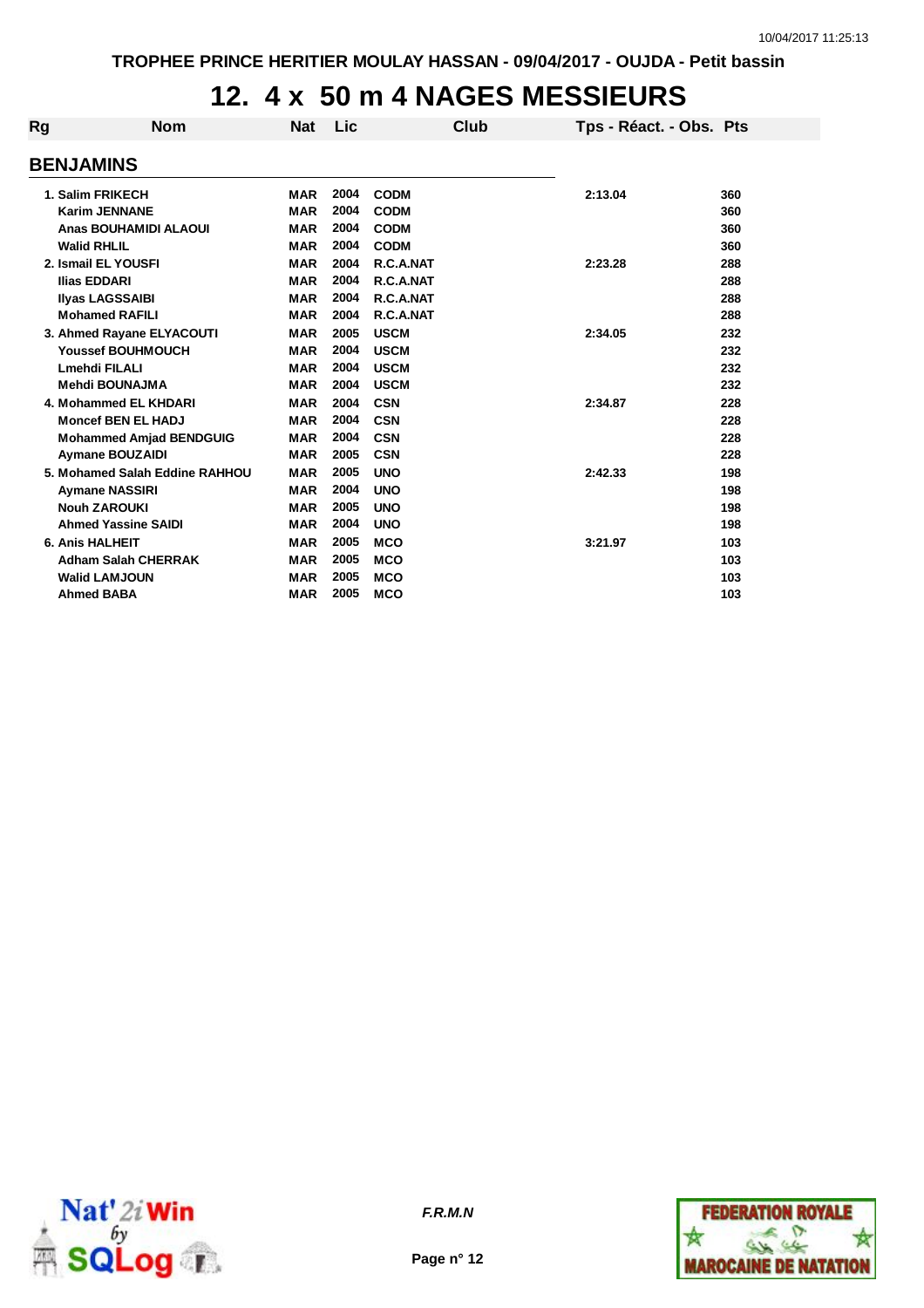# **12. 4 x 50 m 4 NAGES MESSIEURS**

| Rg | <b>Nom</b>                     | <b>Nat</b> | Lic          |             | Club | Tps - Réact. - Obs. Pts |     |
|----|--------------------------------|------------|--------------|-------------|------|-------------------------|-----|
|    | <b>BENJAMINS</b>               |            |              |             |      |                         |     |
|    | 1. Salim FRIKECH               | <b>MAR</b> | 2004         | <b>CODM</b> |      | 2:13.04                 | 360 |
|    | <b>Karim JENNANE</b>           | <b>MAR</b> | 2004         | <b>CODM</b> |      |                         | 360 |
|    | Anas BOUHAMIDI ALAOUI          | <b>MAR</b> | 2004         | <b>CODM</b> |      |                         | 360 |
|    | <b>Walid RHLIL</b>             | <b>MAR</b> | 2004         | <b>CODM</b> |      |                         | 360 |
|    | 2. Ismail EL YOUSFI            | <b>MAR</b> | 2004         | R.C.A.NAT   |      | 2:23.28                 | 288 |
|    | <b>Ilias EDDARI</b>            | <b>MAR</b> | 2004         | R.C.A.NAT   |      |                         | 288 |
|    | <b>Ilyas LAGSSAIBI</b>         | <b>MAR</b> | 2004         | R.C.A.NAT   |      |                         | 288 |
|    | <b>Mohamed RAFILI</b>          | <b>MAR</b> | 2004         | R.C.A.NAT   |      |                         | 288 |
|    | 3. Ahmed Rayane ELYACOUTI      | <b>MAR</b> | 2005         | <b>USCM</b> |      | 2:34.05                 | 232 |
|    | <b>Youssef BOUHMOUCH</b>       | <b>MAR</b> | 2004         | <b>USCM</b> |      |                         | 232 |
|    | <b>Lmehdi FILALI</b>           | <b>MAR</b> | 2004         | <b>USCM</b> |      |                         | 232 |
|    | <b>Mehdi BOUNAJMA</b>          | <b>MAR</b> | 2004         | <b>USCM</b> |      |                         | 232 |
|    | 4. Mohammed EL KHDARI          | <b>MAR</b> | 2004         | <b>CSN</b>  |      | 2:34.87                 | 228 |
|    | <b>Moncef BEN EL HADJ</b>      | <b>MAR</b> | 2004         | <b>CSN</b>  |      |                         | 228 |
|    |                                | <b>MAR</b> | 2004         | <b>CSN</b>  |      |                         | 228 |
|    | <b>Mohammed Amjad BENDGUIG</b> | <b>MAR</b> | 2005         | <b>CSN</b>  |      |                         | 228 |
|    | <b>Aymane BOUZAIDI</b>         |            |              |             |      |                         |     |
|    | 5. Mohamed Salah Eddine RAHHOU | <b>MAR</b> | 2005<br>2004 | <b>UNO</b>  |      | 2:42.33                 | 198 |
|    | <b>Aymane NASSIRI</b>          | <b>MAR</b> |              | <b>UNO</b>  |      |                         | 198 |
|    | <b>Nouh ZAROUKI</b>            | <b>MAR</b> | 2005         | <b>UNO</b>  |      |                         | 198 |
|    | <b>Ahmed Yassine SAIDI</b>     | <b>MAR</b> | 2004         | <b>UNO</b>  |      |                         | 198 |
|    | <b>6. Anis HALHEIT</b>         | <b>MAR</b> | 2005         | <b>MCO</b>  |      | 3:21.97                 | 103 |
|    | <b>Adham Salah CHERRAK</b>     | <b>MAR</b> | 2005         | <b>MCO</b>  |      |                         | 103 |
|    | <b>Walid LAMJOUN</b>           | <b>MAR</b> | 2005         | <b>MCO</b>  |      |                         | 103 |
|    | <b>Ahmed BABA</b>              | <b>MAR</b> | 2005         | <b>MCO</b>  |      |                         | 103 |



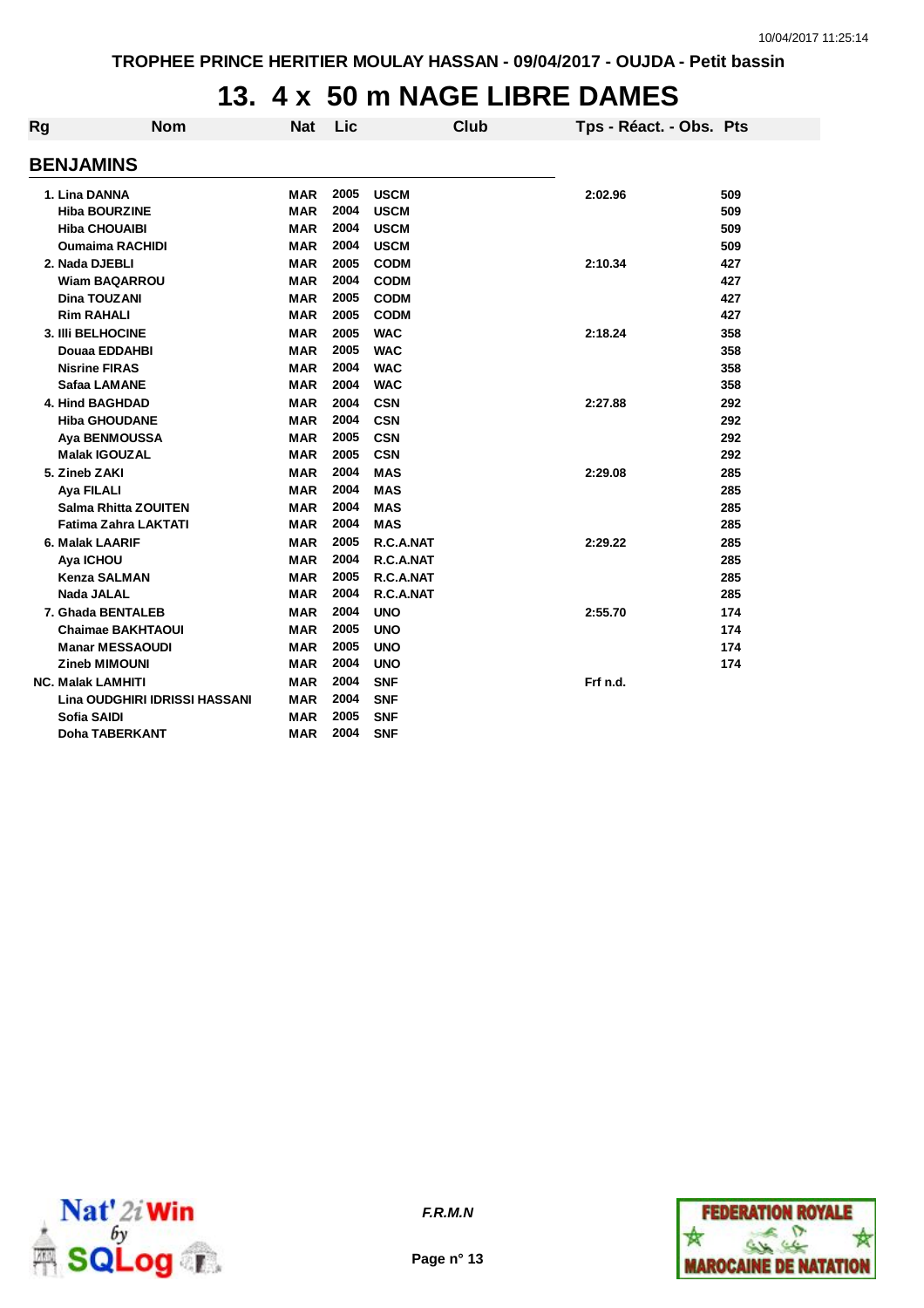### **13. 4 x 50 m NAGE LIBRE DAMES**

| Rg               | <b>Nom</b>                    | <b>Nat</b> | Lic  |             | <b>Club</b> | Tps - Réact. - Obs. Pts |     |  |  |  |
|------------------|-------------------------------|------------|------|-------------|-------------|-------------------------|-----|--|--|--|
| <b>BENJAMINS</b> |                               |            |      |             |             |                         |     |  |  |  |
|                  | 1. Lina DANNA                 | MAR        | 2005 | <b>USCM</b> |             | 2:02.96                 | 509 |  |  |  |
|                  | <b>Hiba BOURZINE</b>          | <b>MAR</b> | 2004 | <b>USCM</b> |             |                         | 509 |  |  |  |
|                  | <b>Hiba CHOUAIBI</b>          | MAR        | 2004 | <b>USCM</b> |             |                         | 509 |  |  |  |
|                  | <b>Oumaima RACHIDI</b>        | <b>MAR</b> | 2004 | <b>USCM</b> |             |                         | 509 |  |  |  |
|                  | 2. Nada DJEBLI                | <b>MAR</b> | 2005 | <b>CODM</b> |             | 2:10.34                 | 427 |  |  |  |
|                  | <b>Wiam BAQARROU</b>          | <b>MAR</b> | 2004 | <b>CODM</b> |             |                         | 427 |  |  |  |
|                  | Dina TOUZANI                  | <b>MAR</b> | 2005 | <b>CODM</b> |             |                         | 427 |  |  |  |
|                  | <b>Rim RAHALI</b>             | <b>MAR</b> | 2005 | <b>CODM</b> |             |                         | 427 |  |  |  |
|                  | 3. IIIi BELHOCINE             | <b>MAR</b> | 2005 | <b>WAC</b>  |             | 2:18.24                 | 358 |  |  |  |
|                  | Douaa EDDAHBI                 | <b>MAR</b> | 2005 | <b>WAC</b>  |             |                         | 358 |  |  |  |
|                  | <b>Nisrine FIRAS</b>          | <b>MAR</b> | 2004 | <b>WAC</b>  |             |                         | 358 |  |  |  |
|                  | Safaa LAMANE                  | MAR        | 2004 | <b>WAC</b>  |             |                         | 358 |  |  |  |
|                  | 4. Hind BAGHDAD               | <b>MAR</b> | 2004 | <b>CSN</b>  |             | 2:27.88                 | 292 |  |  |  |
|                  | <b>Hiba GHOUDANE</b>          | <b>MAR</b> | 2004 | <b>CSN</b>  |             |                         | 292 |  |  |  |
|                  | Aya BENMOUSSA                 | <b>MAR</b> | 2005 | <b>CSN</b>  |             |                         | 292 |  |  |  |
|                  | <b>Malak IGOUZAL</b>          | MAR        | 2005 | <b>CSN</b>  |             |                         | 292 |  |  |  |
|                  | 5. Zineb ZAKI                 | <b>MAR</b> | 2004 | <b>MAS</b>  |             | 2:29.08                 | 285 |  |  |  |
|                  | Aya FILALI                    | <b>MAR</b> | 2004 | <b>MAS</b>  |             |                         | 285 |  |  |  |
|                  | <b>Salma Rhitta ZOUITEN</b>   | <b>MAR</b> | 2004 | <b>MAS</b>  |             |                         | 285 |  |  |  |
|                  | Fatima Zahra LAKTATI          | <b>MAR</b> | 2004 | <b>MAS</b>  |             |                         | 285 |  |  |  |
|                  | 6. Malak LAARIF               | <b>MAR</b> | 2005 | R.C.A.NAT   |             | 2:29.22                 | 285 |  |  |  |
|                  | Aya ICHOU                     | <b>MAR</b> | 2004 | R.C.A.NAT   |             |                         | 285 |  |  |  |
|                  | <b>Kenza SALMAN</b>           | <b>MAR</b> | 2005 | R.C.A.NAT   |             |                         | 285 |  |  |  |
|                  | <b>Nada JALAL</b>             | <b>MAR</b> | 2004 | R.C.A.NAT   |             |                         | 285 |  |  |  |
|                  | 7. Ghada BENTALEB             | <b>MAR</b> | 2004 | <b>UNO</b>  |             | 2:55.70                 | 174 |  |  |  |
|                  | <b>Chaimae BAKHTAOUI</b>      | <b>MAR</b> | 2005 | <b>UNO</b>  |             |                         | 174 |  |  |  |
|                  | <b>Manar MESSAOUDI</b>        | <b>MAR</b> | 2005 | <b>UNO</b>  |             |                         | 174 |  |  |  |
|                  | <b>Zineb MIMOUNI</b>          | MAR        | 2004 | <b>UNO</b>  |             |                         | 174 |  |  |  |
|                  | <b>NC. Malak LAMHITI</b>      | <b>MAR</b> | 2004 | <b>SNF</b>  |             | Frf n.d.                |     |  |  |  |
|                  | Lina OUDGHIRI IDRISSI HASSANI | <b>MAR</b> | 2004 | <b>SNF</b>  |             |                         |     |  |  |  |
|                  | <b>Sofia SAIDI</b>            | MAR        | 2005 | <b>SNF</b>  |             |                         |     |  |  |  |
|                  | Doha TABERKANT                | MAR        | 2004 | <b>SNF</b>  |             |                         |     |  |  |  |